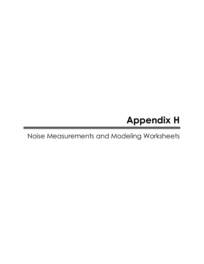# Appendix H

# Noise Measurements and Modeling Worksheets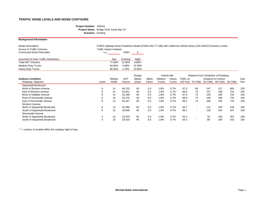### **Project Number:** 180244 **Project Name:** Bridge Point South Bay VII **Scenario:** Existing

### **Background Information**

| <b>Model Description:</b>             |                         |         |        | FHWA Highway Noise Prediction Model (FHWA-RD-77-108) with California Vehicle Noise (CALVENO) Emission Levels. |
|---------------------------------------|-------------------------|---------|--------|---------------------------------------------------------------------------------------------------------------|
| Source of Traffic Volumes:            | Traffic Impact Analysis |         |        |                                                                                                               |
| <b>Community Noise Descriptor:</b>    | $L_{dn}$ :              | CNEL:   | X      |                                                                                                               |
|                                       |                         |         |        |                                                                                                               |
| Assumed 24-Hour Traffic Distribution: | Dav                     | Evening | Night  |                                                                                                               |
| <b>Total ADT Volumes</b>              | 77.50%                  | 12.90%  | 9.60%  |                                                                                                               |
| <b>Medium-Duty Trucks</b>             | 84.80%                  | 4.90%   | 10.30% |                                                                                                               |
| <b>Heavy-Duty Trucks</b>              | 86.50%                  | 2.70%   | 10.80% |                                                                                                               |

|                              |       |        |        | Design |        |        | Vehicle Mix |          | Distance from Centerline of Roadway |     |                            |                         |             |
|------------------------------|-------|--------|--------|--------|--------|--------|-------------|----------|-------------------------------------|-----|----------------------------|-------------------------|-------------|
| <b>Analysis Condition</b>    |       | Median | ADT    | Speed  | Alpha  | Medium | Heavy       | CNEL at  |                                     |     | <b>Distance to Contour</b> |                         | Calc        |
| Roadway, Segment             | Lanes | Width  | Volume | (mph)  | Factor | Trucks | Trucks      | 100 Feet | 70 CNEL                             |     |                            | 65 CNEL 60 CNEL 55 CNEL | <b>Dist</b> |
| Sepulveda Boulevard          |       |        |        |        |        |        |             |          |                                     |     |                            |                         |             |
| West of Western Avenue       | 6     | 14     | 48,733 | 40     | 0.5    | l.8%   | 0.7%        | 67.5     | 68                                  | 147 | 317                        | 683                     | 100         |
| East of Western Avenue       | 6     | 14     | 53,911 | 40     | 0.5    | 1.8%   | 0.7%        | 68.0     | 73                                  | 157 | 339                        | 731                     | 100         |
| West of Halldale Avenue      | 6     | 14     | 53,189 | 40     | 0.5    | 1.8%   | 0.7%        | 67.9     | 72                                  | 156 | 336                        | 724                     | 100         |
| West of Normandie Avenue     | 6     | 16     | 53,715 | 40     | 0.5    | l.8%   | 0.7%        | 68.0     | 73                                  | 158 | 340                        | 732                     | 100         |
| East of Normandie Avenue     | 6     | 14     | 55,247 | 40     | 0.5    | $.8\%$ | 0.7%        | 68.1     | 74                                  | 160 | 345                        | 743                     | 100         |
| Western Avenue               |       |        |        |        |        |        |             |          |                                     |     |                            |                         |             |
| North of Sepulveda Boulevard | 6     | 15     | 32,085 | 40     | 0.5    | 1.8%   | 0.7%        | 65.7     | $\overline{\phantom{a}}$            | 112 | 240                        | 518                     | 100         |
| South of Sepulveda Boulevard | 6     | 15     | 34,846 | 40     | 0.5    | l.8%   | 0.7%        | 66.1     | $\overline{\phantom{a}}$            | 118 | 254                        | 547                     | 100         |
| Normandie Avenue             |       |        |        |        |        |        |             |          |                                     |     |                            |                         |             |
| North of Sepulveda Boulevard | 4     | 10     | 19,243 | 40     | 0.5    | l.8%   | 0.7%        | 63.2     | $\overline{\phantom{a}}$            | 76  | 163                        | 351                     | 100         |
| South of Sepulveda Boulevard | 4     | 10     | 18,410 | 45     | 0.5    | l.8%   | 0.7%        | 64.2     | $\overline{\phantom{0}}$            | 88  | 190                        | 410                     | 100         |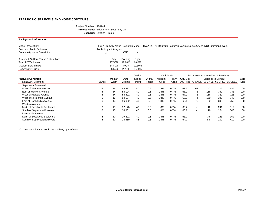### **Project Number:** 180244 **Project Name:** Bridge Point South Bay VII **Scenario:** Existing+Project

### **Background Information**

| <b>Model Description:</b>                    |                                |         |        | FHWA Highway Noise Prediction Model (FHWA-RD-77-108) with California Vehicle Noise (CALVENO) Emission Levels. |
|----------------------------------------------|--------------------------------|---------|--------|---------------------------------------------------------------------------------------------------------------|
| Source of Traffic Volumes:                   | <b>Traffic Impact Analysis</b> |         |        |                                                                                                               |
| <b>Community Noise Descriptor:</b>           | $L_{dn}$ :                     | CNEL:   |        |                                                                                                               |
|                                              |                                |         |        |                                                                                                               |
| <b>Assumed 24-Hour Traffic Distribution:</b> | Dav                            | Evening | Night  |                                                                                                               |
| <b>Total ADT Volumes</b>                     | 77.50%                         | 12.90%  | 9.60%  |                                                                                                               |
| <b>Medium-Duty Trucks</b>                    | 84.80%                         | 4.90%   | 10.30% |                                                                                                               |
| <b>Heavy-Duty Trucks</b>                     | 86.50%                         | 2.70%   | 10.80% |                                                                                                               |

|                              |       |        |        | Design |        | Vehicle Mix   |               |          |                          | Distance from Centerline of Roadway |                            |     |      |
|------------------------------|-------|--------|--------|--------|--------|---------------|---------------|----------|--------------------------|-------------------------------------|----------------------------|-----|------|
| <b>Analysis Condition</b>    |       | Median | ADT    | Speed  | Alpha  | Medium        | Heavy         | CNEL at  |                          |                                     | <b>Distance to Contour</b> |     | Calc |
| Roadway, Segment             | Lanes | Width  | Volume | (mph)  | Factor | <b>Trucks</b> | <b>Trucks</b> | 100 Feet | 70 CNEL                  | 65 CNEL 60 CNEL 55 CNEL             |                            |     | Dist |
| Sepulveda Boulevard          |       |        |        |        |        |               |               |          |                          |                                     |                            |     |      |
| West of Western Avenue       | 6     | 14     | 48,837 | 40     | 0.5    | 1.8%          | 0.7%          | 67.5     | 68                       | 147                                 | 317                        | 684 | 100  |
| East of Western Avenue       | 6     | 14     | 54,124 | 40     | 0.5    | 1.8%          | 0.7%          | 68.0     | 73                       | 158                                 | 340                        | 733 | 100  |
| West of Halldale Avenue      | 6     | 14     | 53,402 | 40     | 0.5    | 1.8%          | 0.7%          | 67.9     | 73                       | 156                                 | 337                        | 726 | 100  |
| West of Normandie Avenue     | 6     | 16     | 54,597 | 40     | 0.5    | 1.8%          | 0.7%          | 68.0     | 74                       | 159                                 | 343                        | 740 | 100  |
| East of Normandie Avenue     | 6     | 14     | 56,032 | 40     | 0.5    | 1.8%          | 0.7%          | 68.1     | 75                       | 162                                 | 348                        | 750 | 100  |
| Western Avenue               |       |        |        |        |        |               |               |          |                          |                                     |                            |     |      |
| North of Sepulveda Boulevard | 6     | 15     | 32,140 | 40     | 0.5    | 1.8%          | 0.7%          | 65.7     | $\sim$                   | 112                                 | 241                        | 519 | 100  |
| South of Sepulveda Boulevard | 6     | 15     | 34,901 | 40     | 0.5    | 1.8%          | 0.7%          | 66.1     | $\sim$                   | 118                                 | 254                        | 548 | 100  |
| Normandie Avenue             |       |        |        |        |        |               |               |          |                          |                                     |                            |     |      |
| North of Sepulveda Boulevard | 4     | 10     | 19,292 | 40     | 0.5    | 1.8%          | 0.7%          | 63.2     | $\overline{\phantom{a}}$ | 76                                  | 163                        | 352 | 100  |
| South of Sepulveda Boulevard | 4     | 10     | 18,459 | 45     | 0.5    | 1.8%          | 0.7%          | 64.2     | ۰                        | 88                                  | 190                        | 410 | 100  |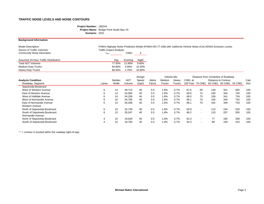### **Project Number:** 180244 **Project Name:** Bridge Point South Bay VII **Scenario:** 2022

| <b>Background Information</b>                           |                                |         |              |                                                                                                               |
|---------------------------------------------------------|--------------------------------|---------|--------------|---------------------------------------------------------------------------------------------------------------|
| <b>Model Description:</b><br>Source of Traffic Volumes: | <b>Traffic Impact Analysis</b> |         |              | FHWA Highway Noise Prediction Model (FHWA-RD-77-108) with California Vehicle Noise (CALVENO) Emission Levels. |
| <b>Community Noise Descriptor:</b>                      | $L_{dn}$ :                     | CNEL:   | $\mathsf{X}$ |                                                                                                               |
| Assumed 24-Hour Traffic Distribution:                   | Dav                            | Evening | Night        |                                                                                                               |
| Total ADT Volumes                                       | 77.50%                         | 12.90%  | 9.60%        |                                                                                                               |
| Medium-Duty Trucks                                      | 84.80%                         | 4.90%   | 10.30%       |                                                                                                               |
| Heavy-Duty Trucks                                       | 86.50%                         | 2.70%   | 10.80%       |                                                                                                               |

|                              |       |                 |            | Design |        |         | Vehicle Mix   |         |                          |         | Distance from Centerline of Roadway |         |      |
|------------------------------|-------|-----------------|------------|--------|--------|---------|---------------|---------|--------------------------|---------|-------------------------------------|---------|------|
| <b>Analysis Condition</b>    |       | Median          | <b>ADT</b> | Speed  | Alpha  | Medium  | Heavy         | CNEL at |                          |         | Distance to Contour                 |         | Calc |
| Roadway, Segment             | Lanes | Width           | Volume     | (mph)  | Factor | Trucks  | <b>Trucks</b> |         | 100 Feet 70 CNEL         | 65 CNEL | 60 CNEL                             | 55 CNEL | Dist |
| Sepulveda Boulevard          |       |                 |            |        |        |         |               |         |                          |         |                                     |         |      |
| West of Western Avenue       | 6     | 14              | 49,713     | 40     | 0.5    | 1.8%    | 0.7%          | 67.6    | 69                       | 149     | 321                                 | 692     | 100  |
| East of Western Avenue       | 6     | 14              | 54,994     | 40     | 0.5    | 1.8%    | 0.7%          | 68.0    | 74                       | 160     | 344                                 | 740     | 100  |
| West of Halldale Avenue      | 6     | 14              | 54,258     | 40     | 0.5    | $1.8\%$ | 0.7%          | 68.0    | 73                       | 158     | 341                                 | 734     | 100  |
| West of Normandie Avenue     | 6     | 16              | 54,795     | 40     | 0.5    | 1.8%    | 0.7%          | 68.1    | 74                       | 160     | 344                                 | 742     | 100  |
| East of Normandie Avenue     | 6     | 14              | 56,358     | 40     | 0.5    | 1.8%    | 0.7%          | 68.1    | 75                       | 162     | 349                                 | 753     | 100  |
| Western Avenue               |       |                 |            |        |        |         |               |         |                          |         |                                     |         |      |
| North of Sepulveda Boulevard | 6     | 15              | 32,729     | 40     | 0.5    | $1.8\%$ | 0.7%          | 65.8    | $\overline{\phantom{a}}$ | 113     | 244                                 | 525     | 100  |
| South of Sepulveda Boulevard | 6     | 15 <sub>1</sub> | 35,547     | 40     | 0.5    | 1.8%    | 0.7%          | 66.2    | $\overline{\phantom{a}}$ | 120     | 257                                 | 555     | 100  |
| Normandie Avenue             |       |                 |            |        |        |         |               |         |                          |         |                                     |         |      |
| North of Sepulveda Boulevard | 4     | 10              | 19,629     | 40     | 0.5    | 1.8%    | 0.7%          | 63.3    | $\overline{\phantom{a}}$ | 77      | 165                                 | 356     | 100  |
| South of Sepulveda Boulevard | 4     | 10              | 18,780     | 45     | 0.5    | 1.8%    | 0.7%          | 64.3    | -                        | 89      | 193                                 | 415     | 100  |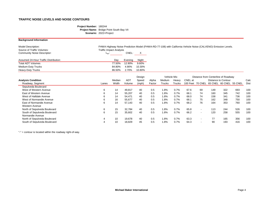### **Project Number:** 180244 **Project Name:** Bridge Point South Bay VII **Scenario:** 2022+Project

### **Background Information**

| <b>Model Description:</b>             |                                |         |        | FHWA Highway Noise Prediction Model (FHWA-RD-77-108) with California Vehicle Noise (CALVENO) Emission Levels. |
|---------------------------------------|--------------------------------|---------|--------|---------------------------------------------------------------------------------------------------------------|
| Source of Traffic Volumes:            | <b>Traffic Impact Analysis</b> |         |        |                                                                                                               |
| <b>Community Noise Descriptor:</b>    | Lan.                           | CNEL:   | X.     |                                                                                                               |
|                                       |                                |         |        |                                                                                                               |
| Assumed 24-Hour Traffic Distribution: | Day                            | Evening | Night  |                                                                                                               |
| <b>Total ADT Volumes</b>              | 77.50%                         | 12.90%  | 9.60%  |                                                                                                               |
| <b>Medium-Duty Trucks</b>             | 84.80%                         | 4.90%   | 10.30% |                                                                                                               |
|                                       |                                |         |        |                                                                                                               |

|                              |       |        |            | Design |        | <b>Vehicle Mix</b> |        |         |                          | Distance from Centerline of Roadway |                            |     |      |
|------------------------------|-------|--------|------------|--------|--------|--------------------|--------|---------|--------------------------|-------------------------------------|----------------------------|-----|------|
| <b>Analysis Condition</b>    |       | Median | <b>ADT</b> | Speed  | Alpha  | Medium             | Heavy  | CNEL at |                          |                                     | <b>Distance to Contour</b> |     | Calc |
| Roadway, Segment             | Lanes | Width  | Volume     | (mph)  | Factor | Trucks             | Trucks |         | 100 Feet 70 CNEL         | 65 CNEL 60 CNEL 55 CNEL             |                            |     | Dist |
| Sepulveda Boulevard          |       |        |            |        |        |                    |        |         |                          |                                     |                            |     |      |
| West of Western Avenue       | 6     | 14     | 49,817     | 40     | 0.5    | $.8\%$             | 0.7%   | 67.6    | 69                       | 149                                 | 322                        | 693 | 100  |
| East of Western Avenue       | 6     | 14     | 55,207     | 40     | 0.5    | 8% l               | 0.7%   | 68.7    | 74                       | 160                                 | 345                        | 742 | 100  |
| West of Halldale Avenue      | 6     | 14     | 54,471     | 40     | 0.5    | l.8%               | 0.7%   | 68.0    | 74                       | 158                                 | 341                        | 736 | 100  |
| West of Normandie Avenue     | 6     | 16     | 55,677     | 40     | 0.5    | l.8%               | 0.7%   | 68.7    | 75                       | 162                                 | 348                        | 750 | 100  |
| East of Normandie Avenue     | 6     | 14     | 57,143     | 40     | 0.5    | $.8\%$             | 0.7%   | 68.2    | 76                       | 164                                 | 353                        | 760 | 100  |
| Western Avenue               |       |        |            |        |        |                    |        |         |                          |                                     |                            |     |      |
| North of Sepulveda Boulevard | 6     | 15     | 32,784     | 40     | 0.5    | $.8\%$             | 0.7%   | 65.8    | $\sim$                   | 113                                 | 244                        | 526 | 100  |
| South of Sepulveda Boulevard | 6     | 15     | 35,602     | 40     | 0.5    | $.8\%$             | 0.7%   | 66.2    | $\blacksquare$           | 120                                 | 258                        | 555 | 100  |
| Normandie Avenue             |       |        |            |        |        |                    |        |         |                          |                                     |                            |     |      |
| North of Sepulveda Boulevard | 4     | 10     | 19,678     | 40     | 0.5    | $.8\%$             | 0.7%   | 63.3    | $\overline{\phantom{a}}$ | 77                                  | 165                        | 356 | 100  |
| South of Sepulveda Boulevard | 4     | 10     | 18,829     | 45     | 0.5    | $.8\%$             | 0.7%   | 64.3    | $\blacksquare$           | 90                                  | 193                        | 416 | 100  |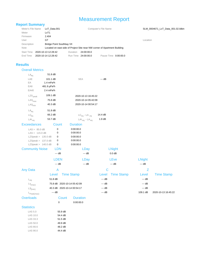### Measurement Report

### **Report Summary**

| Meter's File Name | $LxT$ Data.001                                                            |          |                     | Computer's File Name | SLM 00   |
|-------------------|---------------------------------------------------------------------------|----------|---------------------|----------------------|----------|
| Meter             | LxT1                                                                      |          |                     |                      |          |
| Firmware          | 2.404                                                                     |          |                     |                      |          |
| User              | GТ                                                                        |          |                     |                      | Location |
| Description       | <b>Bridge Point Southbay VII</b>                                          |          |                     |                      |          |
| <b>Note</b>       | Located on east side of Project Site near NW corner of Apartment Building |          |                     |                      |          |
| <b>Start Time</b> | 2020-10-13 12:28:42                                                       | Duration | 24:00:00.0          |                      |          |
| End Time          | 2020-10-14 12:28:42                                                       |          | Run Time 24:00:00.0 | Pause Time 0:00:00.0 |          |

#### **Results**

| <b>Overall Metrics</b>        |                             |                        |                            |               |                     |
|-------------------------------|-----------------------------|------------------------|----------------------------|---------------|---------------------|
| $LA_{eq}$                     | 51.8 dB                     |                        |                            |               |                     |
| LAE                           | 101.1 dB                    | SEA                    | --- dB                     |               |                     |
| EA                            | 1.4 mPa <sup>2</sup> h      |                        |                            |               |                     |
| EA8                           | 481.9 µPa <sup>2</sup> h    |                        |                            |               |                     |
| <b>EA40</b>                   | 2.4 mPa <sup>2</sup> h      |                        |                            |               |                     |
| $LZS$ <sub>peak</sub>         | 109.1 dB                    | 2020-10-13 16:45:22    |                            |               |                     |
| $\mathrm{LAS}_{\mathrm{max}}$ | 75.8 dB                     | 2020-10-14 05:42:09    |                            |               |                     |
| LAS <sub>min</sub>            | 40.3 dB                     | 2020-10-14 00:54:17    |                            |               |                     |
| $\mathsf{LA}_{\mathsf{eq}}$   | 51.8 dB                     |                        |                            |               |                     |
| $LC_{eq}$                     | 66.2 dB                     | $LC_{eq}$ - LA $_{eq}$ | 14.4 dB                    |               |                     |
| $LAI_{eq}$                    | 53.7 dB                     | $LAI_{eq} - LA_{eq}$   | 1.9dB                      |               |                     |
| <b>Exceedances</b>            | Count                       | <b>Duration</b>        |                            |               |                     |
| LAS > 85.0 dB                 | 0                           | 0:00:00.0              |                            |               |                     |
| LAS > 115.0 dB                | 0                           | 0:00:00.0              |                            |               |                     |
| LZSpeak > 135.0 dB            | 0                           | 0:00:00.0              |                            |               |                     |
| LZSpeak > 137.0 dB            | 0                           | 0:00:00.0              |                            |               |                     |
| LZSpeak > 140.0 dB            | 0                           | 0:00:00.0              |                            |               |                     |
| <b>Community Noise</b>        | <b>LDN</b>                  | <b>LDay</b>            | <b>LNight</b>              |               |                     |
|                               | $--$ dB                     | $--$ dB                | $0.0$ dB                   |               |                     |
|                               | <b>LDEN</b>                 | <b>LDay</b>            | LEve                       | <b>LNight</b> |                     |
|                               | $-$ dB                      | $---$ dB               | --- dB                     | --- dB        |                     |
| <b>Any Data</b>               | A                           |                        | C                          | Ζ             |                     |
|                               | Level                       | <b>Time Stamp</b>      | <b>Time Stamp</b><br>Level | Level         | <b>Time Stamp</b>   |
| $L_{eq}$                      | 51.8 dB                     |                        | $---$ dB                   | $---$ dB      |                     |
| $\text{Ls}_{(\text{max})}$    | 75.8 dB 2020-10-14 05:42:09 |                        | --- dB                     | $---$ dB      |                     |
| $LS_{(min)}$                  | 40.3 dB 2020-10-14 00:54:17 |                        | --- dB                     | $-$ - dB      |                     |
| $L_{\text{Peak(max)}}$        | $---$ dB                    |                        | --- dB                     | 109.1 dB      | 2020-10-13 16:45:22 |
| <b>Overloads</b>              | Count                       | <b>Duration</b>        |                            |               |                     |
|                               | $\mathbf 0$                 | 0:00:00.0              |                            |               |                     |
| $C$ totiotion                 |                             |                        |                            |               |                     |

#### **Statistics**

| IAS50    | 55.9 dB |
|----------|---------|
| LAS 10.0 | 54.4 dB |
| LAS 33.3 | 51.5dB  |
| LAS 50.0 | 49.9 dB |
| LAS 66.6 | 48.2 dB |
| LAS 90.0 | 44 4 dB |

#### $SLM_0004671_LxT_Data_001.02.$ ldbin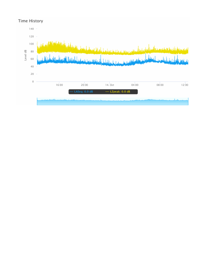### **Time History**

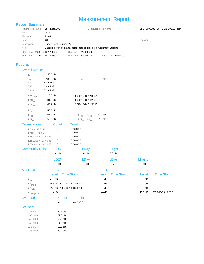### Measurement Report

### **Report Summary**

LAS 10.0 59.0 dB LAS 33.3 56.3 dB LAS 50.0 54.9 dB LAS 66.6 53.3 dB LAS 90.0 **49.7 dB** 

| Meter's File Name | $LxT$ Data.001                                                          |          |                     | Computer's File Name |          | SLM 0006082 LxT Data 001.03.Idbin |
|-------------------|-------------------------------------------------------------------------|----------|---------------------|----------------------|----------|-----------------------------------|
| Meter             | LxT1                                                                    |          |                     |                      |          |                                   |
| Firmware          | 2.404                                                                   |          |                     |                      |          |                                   |
| User              | GT                                                                      |          |                     |                      | Location |                                   |
| Description       | <b>Bridge Point Southbay VII</b>                                        |          |                     |                      |          |                                   |
| Note              | East side of Project Site, adjacent to south side of Apartment Building |          |                     |                      |          |                                   |
| <b>Start Time</b> | 2020-10-13 12:35:03                                                     | Duration | 24:00:00.0          |                      |          |                                   |
| End Time          | 2020-10-14 12:35:03                                                     |          | Run Time 24:00:00.0 | Pause Time 0:00:00.0 |          |                                   |

#### **Results**

| <b>Overall Metrics</b>     |                             |                        |               |                            |                     |
|----------------------------|-----------------------------|------------------------|---------------|----------------------------|---------------------|
| $LA_{eq}$                  | 56.5 dB                     |                        |               |                            |                     |
| LAE                        | 105.9 dB                    | SEA                    | --- dB        |                            |                     |
| EA                         | 4.3 mPa <sup>2</sup> h      |                        |               |                            |                     |
| EA8                        | 1.4 mPa <sup>2</sup> h      |                        |               |                            |                     |
| <b>EA40</b>                | 7.2 mPa <sup>2</sup> h      |                        |               |                            |                     |
| $LZS_{peak}$               | 110.5 dB                    | 2020-10-13 12:35:51    |               |                            |                     |
| LAS <sub>max</sub>         | 81.3 dB                     | 2020-10-13 14:28:34    |               |                            |                     |
| LAS <sub>min</sub>         | 44.2 dB                     | 2020-10-14 01:58:13    |               |                            |                     |
| $LA_{eq}$                  | 56.5 dB                     |                        |               |                            |                     |
| $LC_{\text{eq}}$           | 67.4 dB                     | $LC_{eq}$ - LA $_{eq}$ | 10.9 dB       |                            |                     |
| $LAI_{eq}$                 | 58.3 dB                     | $LAI_{eq} - LA_{eq}$   | 1.8dB         |                            |                     |
| <b>Exceedances</b>         | Count                       | <b>Duration</b>        |               |                            |                     |
| LAS > 85.0 dB              | 0                           | 0:00:00.0              |               |                            |                     |
| LAS > 115.0 dB             | 0                           | 0:00:00.0              |               |                            |                     |
| LZSpeak > $135.0$ dB       | 0                           | 0:00:00.0              |               |                            |                     |
| LZSpeak > $137.0$ dB       | 0                           | 0:00:00.0              |               |                            |                     |
| LZSpeak > 140.0 dB         | 0                           | 0:00:00.0              |               |                            |                     |
| <b>Community Noise</b>     | <b>LDN</b>                  | <b>LDay</b>            | <b>LNight</b> |                            |                     |
|                            | --- dB                      | --- dB                 | $0.0$ dB      |                            |                     |
|                            | <b>LDEN</b>                 | <b>LDay</b>            | LEve          | <b>LNight</b>              |                     |
|                            | $--$ dB                     | $---$ dB               | --- dB        | $--$ dB                    |                     |
| <b>Any Data</b>            | A                           |                        | $\mathsf{C}$  |                            | Z                   |
|                            | Level                       | <b>Time Stamp</b>      | Level         | <b>Time Stamp</b><br>Level | <b>Time Stamp</b>   |
| $L_{eq}$                   | 56.5 dB                     |                        | --- dB        | --- dB                     |                     |
| $\text{Ls}_{(\text{max})}$ | 81.3 dB 2020-10-13 14:28:34 |                        | --- dB        | --- dB                     |                     |
| $LS_{(min)}$               | 44.2 dB 2020-10-14 01:58:13 |                        | --- dB        | --- dB                     |                     |
| $L_{\text{Peak(max)}}$     | --- dB                      |                        | --- dB        | 110.5 dB                   | 2020-10-13 12:35:51 |
| <b>Overloads</b>           | Count                       | <b>Duration</b>        |               |                            |                     |
|                            | 0                           | 0:00:00.0              |               |                            |                     |
| <b>Statistics</b>          |                             |                        |               |                            |                     |
| LAS 5.0                    | 60.4 dB                     |                        |               |                            |                     |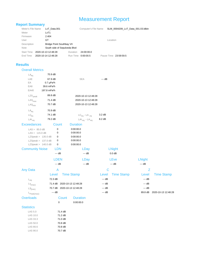## Measurement Report

| <b>Report Summary</b>      |                          |                                                                  |                        |        |                                   |               |                     |
|----------------------------|--------------------------|------------------------------------------------------------------|------------------------|--------|-----------------------------------|---------------|---------------------|
| Meter's File Name          | LxT_Data.001             |                                                                  | Computer's File Name   |        | SLM_0004209_LxT_Data_001.03.Idbin |               |                     |
| Meter                      | LxT1                     |                                                                  |                        |        |                                   |               |                     |
| Firmware                   | 2.404                    |                                                                  |                        |        |                                   |               |                     |
| User                       | GT                       |                                                                  |                        |        | Location                          |               |                     |
| Description<br>Note        |                          | <b>Bridge Point Southbay VII</b><br>South side of Sepulveda Blvd |                        |        |                                   |               |                     |
| <b>Start Time</b>          | 2020-10-13 12:48:28      | Duration                                                         | 24:00:00.0             |        |                                   |               |                     |
| End Time                   | 2020-10-14 12:48:28      | Run Time                                                         | 0:00:00.5              |        | Pause Time 23:59:59.5             |               |                     |
| <b>Results</b>             |                          |                                                                  |                        |        |                                   |               |                     |
| <b>Overall Metrics</b>     |                          |                                                                  |                        |        |                                   |               |                     |
| $LA_{eq}$                  | 70.9 dB                  |                                                                  |                        |        |                                   |               |                     |
| LAE                        | 67.9 dB                  |                                                                  | <b>SEA</b>             | --- dB |                                   |               |                     |
| EA                         | $0.7 \mu Pa^2h$          |                                                                  |                        |        |                                   |               |                     |
| EA8                        | 39.6 mPa <sup>2</sup> h  |                                                                  |                        |        |                                   |               |                     |
| <b>EA40</b>                | 197.8 mPa <sup>2</sup> h |                                                                  |                        |        |                                   |               |                     |
| $LZS_{peak}$               | 89.8 dB                  |                                                                  | 2020-10-13 12:48:28    |        |                                   |               |                     |
| LAS <sub>max</sub>         | 71.4 dB                  |                                                                  | 2020-10-13 12:48:28    |        |                                   |               |                     |
| LAS <sub>min</sub>         | 70.7 dB                  |                                                                  | 2020-10-13 12:48:28    |        |                                   |               |                     |
| $LA_{eq}$                  | 70.9 dB                  |                                                                  |                        |        |                                   |               |                     |
| $LC_{eq}$                  | 74.1 dB                  |                                                                  | $LC_{eq}$ - LA $_{eq}$ | 3.2 dB |                                   |               |                     |
| $LAI_{eq}$                 | 79.2 dB                  |                                                                  | $LAI_{eq} - LA_{eq}$   | 8.2 dB |                                   |               |                     |
| <b>Exceedances</b>         |                          | <b>Duration</b><br>Count                                         |                        |        |                                   |               |                     |
|                            | LAS > 85.0 dB            | 0<br>0:00:00.0                                                   |                        |        |                                   |               |                     |
|                            | LAS > 115.0 dB           | 0<br>0:00:00.0                                                   |                        |        |                                   |               |                     |
|                            | LZSpeak > $135.0$ dB     | 0<br>0:00:00.0                                                   |                        |        |                                   |               |                     |
|                            | LZSpeak > $137.0$ dB     | 0<br>0:00:00.0                                                   |                        |        |                                   |               |                     |
|                            | LZSpeak > 140.0 dB       | 0<br>0:00:00.0                                                   |                        |        |                                   |               |                     |
| <b>Community Noise</b>     |                          | <b>LDN</b>                                                       | <b>LDay</b>            |        | <b>LNight</b>                     |               |                     |
|                            |                          | --- dB                                                           | --- dB                 |        | 0.0 dB                            |               |                     |
|                            |                          | <b>LDEN</b>                                                      | <b>LDay</b>            |        | LEve                              | <b>LNight</b> |                     |
|                            |                          | --- dB                                                           | --- dB                 |        | --- dB                            | --- dB        |                     |
| <b>Any Data</b>            |                          | A                                                                |                        | С      |                                   | Ζ             |                     |
|                            | Level                    | <b>Time Stamp</b>                                                |                        | Level  | <b>Time Stamp</b>                 | Level         | <b>Time Stamp</b>   |
|                            | 72.3 dB                  |                                                                  |                        | --- dB |                                   | --- dB        |                     |
| $\mathsf{L}_{\text{eq}}$   |                          | 71.4 dB 2020-10-13 12:48:28                                      |                        | --- dB |                                   | --- dB        |                     |
| $\text{Ls}_{(\text{max})}$ |                          | 70.7 dB 2020-10-13 12:48:28                                      |                        | --- dB |                                   | --- dB        |                     |
| $LS_{(min)}$               | --- dB                   |                                                                  |                        | --- dB |                                   | 89.8 dB       | 2020-10-13 12:48:28 |
| $L_{\text{Peak(max)}}$     |                          |                                                                  |                        |        |                                   |               |                     |
| <b>Overloads</b>           |                          | Count                                                            | <b>Duration</b>        |        |                                   |               |                     |
|                            |                          | 0                                                                | 0:00:00.0              |        |                                   |               |                     |
| <b>Statistics</b>          |                          |                                                                  |                        |        |                                   |               |                     |
| LAS 5.0                    |                          | 71.4 dB                                                          |                        |        |                                   |               |                     |
| LAS 10.0                   |                          | 71.2 dB                                                          |                        |        |                                   |               |                     |
| LAS 33.3                   |                          | 71.0 dB                                                          |                        |        |                                   |               |                     |
| LAS 50.0                   |                          | 70.8 dB                                                          |                        |        |                                   |               |                     |
| LAS 66.6<br>LAS 90.0       |                          | 70.8 dB<br>70.7 dB                                               |                        |        |                                   |               |                     |
|                            |                          |                                                                  |                        |        |                                   |               |                     |